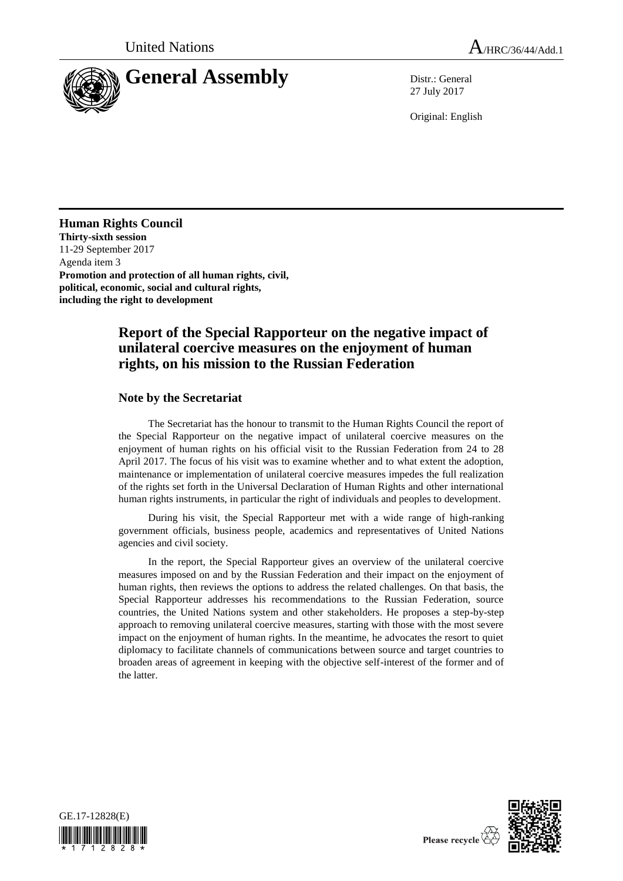

27 July 2017

Original: English

## **Human Rights Council**

**Thirty-sixth session** 11-29 September 2017 Agenda item 3 **Promotion and protection of all human rights, civil, political, economic, social and cultural rights, including the right to development**

# **Report of the Special Rapporteur on the negative impact of unilateral coercive measures on the enjoyment of human rights, on his mission to the Russian Federation**

### **Note by the Secretariat**

The Secretariat has the honour to transmit to the Human Rights Council the report of the Special Rapporteur on the negative impact of unilateral coercive measures on the enjoyment of human rights on his official visit to the Russian Federation from 24 to 28 April 2017. The focus of his visit was to examine whether and to what extent the adoption, maintenance or implementation of unilateral coercive measures impedes the full realization of the rights set forth in the Universal Declaration of Human Rights and other international human rights instruments, in particular the right of individuals and peoples to development.

During his visit, the Special Rapporteur met with a wide range of high-ranking government officials, business people, academics and representatives of United Nations agencies and civil society.

In the report, the Special Rapporteur gives an overview of the unilateral coercive measures imposed on and by the Russian Federation and their impact on the enjoyment of human rights, then reviews the options to address the related challenges. On that basis, the Special Rapporteur addresses his recommendations to the Russian Federation, source countries, the United Nations system and other stakeholders. He proposes a step-by-step approach to removing unilateral coercive measures, starting with those with the most severe impact on the enjoyment of human rights. In the meantime, he advocates the resort to quiet diplomacy to facilitate channels of communications between source and target countries to broaden areas of agreement in keeping with the objective self-interest of the former and of the latter.



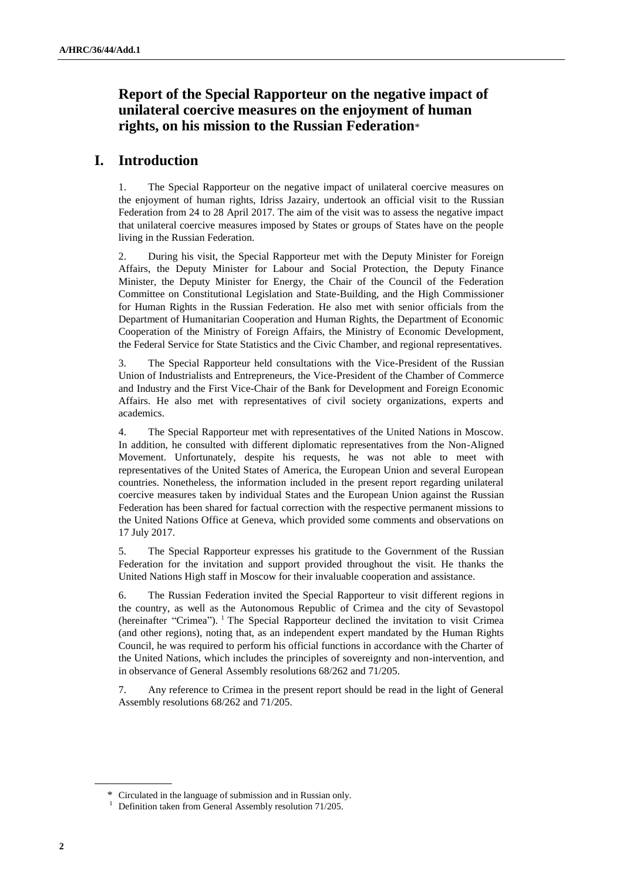# **Report of the Special Rapporteur on the negative impact of unilateral coercive measures on the enjoyment of human rights, on his mission to the Russian Federation**\*

# **I. Introduction**

1. The Special Rapporteur on the negative impact of unilateral coercive measures on the enjoyment of human rights, Idriss Jazairy, undertook an official visit to the Russian Federation from 24 to 28 April 2017. The aim of the visit was to assess the negative impact that unilateral coercive measures imposed by States or groups of States have on the people living in the Russian Federation.

2. During his visit, the Special Rapporteur met with the Deputy Minister for Foreign Affairs, the Deputy Minister for Labour and Social Protection, the Deputy Finance Minister, the Deputy Minister for Energy, the Chair of the Council of the Federation Committee on Constitutional Legislation and State-Building, and the High Commissioner for Human Rights in the Russian Federation. He also met with senior officials from the Department of Humanitarian Cooperation and Human Rights, the Department of Economic Cooperation of the Ministry of Foreign Affairs, the Ministry of Economic Development, the Federal Service for State Statistics and the Civic Chamber, and regional representatives.

3. The Special Rapporteur held consultations with the Vice-President of the Russian Union of Industrialists and Entrepreneurs, the Vice-President of the Chamber of Commerce and Industry and the First Vice-Chair of the Bank for Development and Foreign Economic Affairs. He also met with representatives of civil society organizations, experts and academics.

4. The Special Rapporteur met with representatives of the United Nations in Moscow. In addition, he consulted with different diplomatic representatives from the Non-Aligned Movement. Unfortunately, despite his requests, he was not able to meet with representatives of the United States of America, the European Union and several European countries. Nonetheless, the information included in the present report regarding unilateral coercive measures taken by individual States and the European Union against the Russian Federation has been shared for factual correction with the respective permanent missions to the United Nations Office at Geneva, which provided some comments and observations on 17 July 2017.

5. The Special Rapporteur expresses his gratitude to the Government of the Russian Federation for the invitation and support provided throughout the visit. He thanks the United Nations High staff in Moscow for their invaluable cooperation and assistance.

6. The Russian Federation invited the Special Rapporteur to visit different regions in the country, as well as the Autonomous Republic of Crimea and the city of Sevastopol (hereinafter "Crimea"). <sup>1</sup> The Special Rapporteur declined the invitation to visit Crimea (and other regions), noting that, as an independent expert mandated by the Human Rights Council, he was required to perform his official functions in accordance with the Charter of the United Nations, which includes the principles of sovereignty and non-intervention, and in observance of General Assembly resolutions 68/262 and 71/205.

7. Any reference to Crimea in the present report should be read in the light of General Assembly resolutions 68/262 and 71/205.

<sup>\*</sup> Circulated in the language of submission and in Russian only.

<sup>&</sup>lt;sup>1</sup> Definition taken from General Assembly resolution 71/205.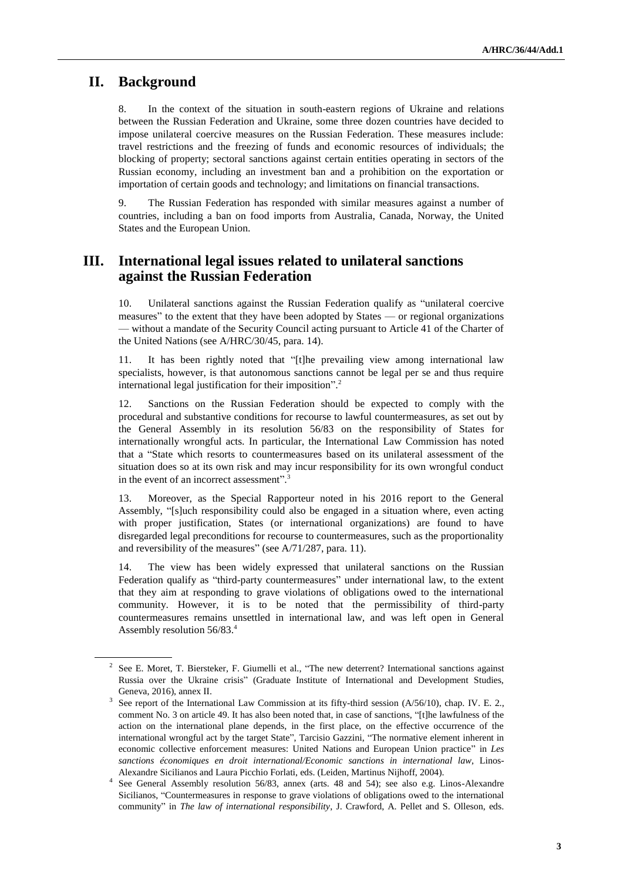### **II. Background**

8. In the context of the situation in south-eastern regions of Ukraine and relations between the Russian Federation and Ukraine, some three dozen countries have decided to impose unilateral coercive measures on the Russian Federation. These measures include: travel restrictions and the freezing of funds and economic resources of individuals; the blocking of property; sectoral sanctions against certain entities operating in sectors of the Russian economy, including an investment ban and a prohibition on the exportation or importation of certain goods and technology; and limitations on financial transactions.

9. The Russian Federation has responded with similar measures against a number of countries, including a ban on food imports from Australia, Canada, Norway, the United States and the European Union.

## **III. International legal issues related to unilateral sanctions against the Russian Federation**

10. Unilateral sanctions against the Russian Federation qualify as "unilateral coercive measures" to the extent that they have been adopted by States — or regional organizations — without a mandate of the Security Council acting pursuant to Article 41 of the Charter of the United Nations (see A/HRC/30/45, para. 14).

11. It has been rightly noted that "[t]he prevailing view among international law specialists, however, is that autonomous sanctions cannot be legal per se and thus require international legal justification for their imposition".<sup>2</sup>

12. Sanctions on the Russian Federation should be expected to comply with the procedural and substantive conditions for recourse to lawful countermeasures, as set out by the General Assembly in its resolution 56/83 on the responsibility of States for internationally wrongful acts. In particular, the International Law Commission has noted that a "State which resorts to countermeasures based on its unilateral assessment of the situation does so at its own risk and may incur responsibility for its own wrongful conduct in the event of an incorrect assessment".<sup>3</sup>

13. Moreover, as the Special Rapporteur noted in his 2016 report to the General Assembly, "[s]uch responsibility could also be engaged in a situation where, even acting with proper justification, States (or international organizations) are found to have disregarded legal preconditions for recourse to countermeasures, such as the proportionality and reversibility of the measures" (see A/71/287, para. 11).

14. The view has been widely expressed that unilateral sanctions on the Russian Federation qualify as "third-party countermeasures" under international law, to the extent that they aim at responding to grave violations of obligations owed to the international community. However, it is to be noted that the permissibility of third-party countermeasures remains unsettled in international law, and was left open in General Assembly resolution 56/83.<sup>4</sup>

<sup>&</sup>lt;sup>2</sup> See E. Moret, T. Biersteker, F. Giumelli et al., "The new deterrent? International sanctions against Russia over the Ukraine crisis" (Graduate Institute of International and Development Studies, Geneva, 2016), annex II.

<sup>&</sup>lt;sup>3</sup> See report of the International Law Commission at its fifty-third session (A/56/10), chap. IV. E. 2., comment No. 3 on article 49. It has also been noted that, in case of sanctions, "[t]he lawfulness of the action on the international plane depends, in the first place, on the effective occurrence of the international wrongful act by the target State", Tarcisio Gazzini, "The normative element inherent in economic collective enforcement measures: United Nations and European Union practice" in *Les sanctions économiques en droit international/Economic sanctions in international law*, Linos-Alexandre Sicilianos and Laura Picchio Forlati, eds. (Leiden, Martinus Nijhoff, 2004).

<sup>4</sup> See General Assembly resolution 56/83, annex (arts. 48 and 54); see also e.g. Linos-Alexandre Sicilianos, "Countermeasures in response to grave violations of obligations owed to the international community" in *The law of international responsibility*, J. Crawford, A. Pellet and S. Olleson, eds.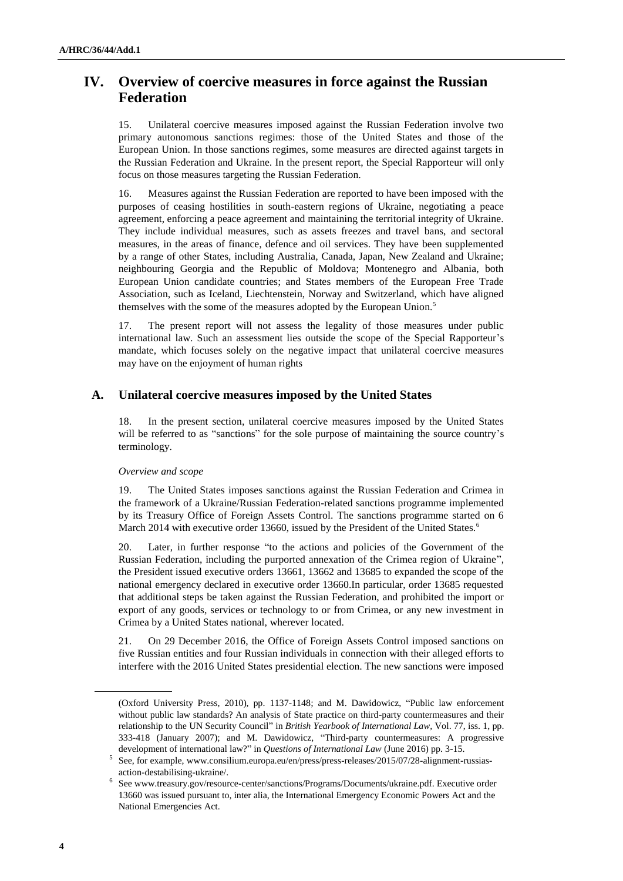# **IV. Overview of coercive measures in force against the Russian Federation**

15. Unilateral coercive measures imposed against the Russian Federation involve two primary autonomous sanctions regimes: those of the United States and those of the European Union. In those sanctions regimes, some measures are directed against targets in the Russian Federation and Ukraine. In the present report, the Special Rapporteur will only focus on those measures targeting the Russian Federation.

16. Measures against the Russian Federation are reported to have been imposed with the purposes of ceasing hostilities in south-eastern regions of Ukraine, negotiating a peace agreement, enforcing a peace agreement and maintaining the territorial integrity of Ukraine. They include individual measures, such as assets freezes and travel bans, and sectoral measures, in the areas of finance, defence and oil services. They have been supplemented by a range of other States, including Australia, Canada, Japan, New Zealand and Ukraine; neighbouring Georgia and the Republic of Moldova; Montenegro and Albania, both European Union candidate countries; and States members of the European Free Trade Association, such as Iceland, Liechtenstein, Norway and Switzerland, which have aligned themselves with the some of the measures adopted by the European Union.<sup>5</sup>

17. The present report will not assess the legality of those measures under public international law. Such an assessment lies outside the scope of the Special Rapporteur's mandate, which focuses solely on the negative impact that unilateral coercive measures may have on the enjoyment of human rights

### **A. Unilateral coercive measures imposed by the United States**

18. In the present section, unilateral coercive measures imposed by the United States will be referred to as "sanctions" for the sole purpose of maintaining the source country's terminology.

### *Overview and scope*

19. The United States imposes sanctions against the Russian Federation and Crimea in the framework of a Ukraine/Russian Federation-related sanctions programme implemented by its Treasury Office of Foreign Assets Control. The sanctions programme started on 6 March 2014 with executive order 13660, issued by the President of the United States.<sup>6</sup>

20. Later, in further response "to the actions and policies of the Government of the Russian Federation, including the purported annexation of the Crimea region of Ukraine", the President issued executive orders 13661, 13662 and 13685 to expanded the scope of the national emergency declared in executive order 13660.In particular, order 13685 requested that additional steps be taken against the Russian Federation, and prohibited the import or export of any goods, services or technology to or from Crimea, or any new investment in Crimea by a United States national, wherever located.

21. On 29 December 2016, the Office of Foreign Assets Control imposed sanctions on five Russian entities and four Russian individuals in connection with their alleged efforts to interfere with the 2016 United States presidential election. The new sanctions were imposed

<sup>(</sup>Oxford University Press, 2010), pp. 1137-1148; and M. Dawidowicz, "Public law enforcement without public law standards? An analysis of State practice on third-party countermeasures and their relationship to the UN Security Council" in *British Yearbook of International Law,* Vol. 77, iss. 1, pp. 333-418 (January 2007); and M. Dawidowicz, "Third-party countermeasures: A progressive development of international law?" in *Questions of International Law* (June 2016) pp. 3-15.

<sup>5</sup> See, for example, www.consilium.europa.eu/en/press/press-releases/2015/07/28-alignment-russiasaction-destabilising-ukraine/.

<sup>&</sup>lt;sup>6</sup> See www.treasury.gov/resource-center/sanctions/Programs/Documents/ukraine.pdf. Executive order 13660 was issued pursuant to, inter alia, the International Emergency Economic Powers Act and the National Emergencies Act.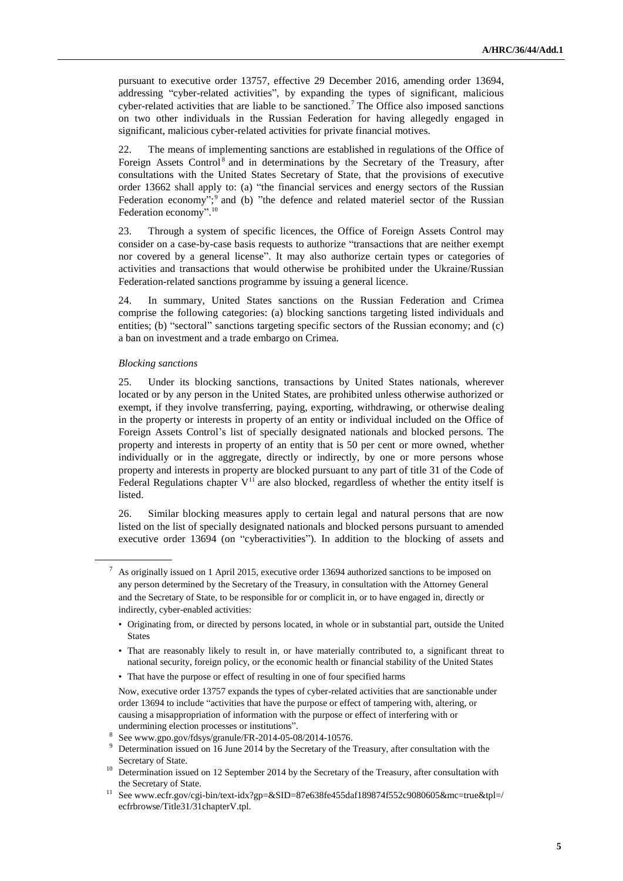pursuant to executive order 13757, effective 29 December 2016, amending order 13694, addressing "cyber-related activities", by expanding the types of significant, malicious cyber-related activities that are liable to be sanctioned.<sup>7</sup> The Office also imposed sanctions on two other individuals in the Russian Federation for having allegedly engaged in significant, malicious cyber-related activities for private financial motives.

22. The means of implementing sanctions are established in regulations of the Office of Foreign Assets Control<sup>8</sup> and in determinations by the Secretary of the Treasury, after consultations with the United States Secretary of State, that the provisions of executive order 13662 shall apply to: (a) "the financial services and energy sectors of the Russian Federation economy";<sup>9</sup> and (b) "the defence and related materiel sector of the Russian Federation economy".<sup>10</sup>

23. Through a system of specific licences, the Office of Foreign Assets Control may consider on a case-by-case basis requests to authorize "transactions that are neither exempt nor covered by a general license". It may also authorize certain types or categories of activities and transactions that would otherwise be prohibited under the Ukraine/Russian Federation-related sanctions programme by issuing a general licence.

24. In summary, United States sanctions on the Russian Federation and Crimea comprise the following categories: (a) blocking sanctions targeting listed individuals and entities; (b) "sectoral" sanctions targeting specific sectors of the Russian economy; and (c) a ban on investment and a trade embargo on Crimea.

#### *Blocking sanctions*

25. Under its blocking sanctions, transactions by United States nationals, wherever located or by any person in the United States, are prohibited unless otherwise authorized or exempt, if they involve transferring, paying, exporting, withdrawing, or otherwise dealing in the property or interests in property of an entity or individual included on the Office of Foreign Assets Control's list of specially designated nationals and blocked persons. The property and interests in property of an entity that is 50 per cent or more owned, whether individually or in the aggregate, directly or indirectly, by one or more persons whose property and interests in property are blocked pursuant to any part of title 31 of the Code of Federal Regulations chapter  $V<sup>11</sup>$  are also blocked, regardless of whether the entity itself is listed.

26. Similar blocking measures apply to certain legal and natural persons that are now listed on the list of specially designated nationals and blocked persons pursuant to amended executive order 13694 (on "cyberactivities"). In addition to the blocking of assets and

<sup>7</sup> As originally issued on 1 April 2015, executive order 13694 authorized sanctions to be imposed on any person determined by the Secretary of the Treasury, in consultation with the Attorney General and the Secretary of State, to be responsible for or complicit in, or to have engaged in, directly or indirectly, cyber-enabled activities:

<sup>•</sup> Originating from, or directed by persons located, in whole or in substantial part, outside the United States

<sup>•</sup> That are reasonably likely to result in, or have materially contributed to, a significant threat to national security, foreign policy, or the economic health or financial stability of the United States

<sup>•</sup> That have the purpose or effect of resulting in one of four specified harms

Now, executive order 13757 expands the types of cyber-related activities that are sanctionable under order 13694 to include "activities that have the purpose or effect of tampering with, altering, or causing a misappropriation of information with the purpose or effect of interfering with or undermining election processes or institutions".

<sup>8</sup> See www.gpo.gov/fdsys/granule/FR-2014-05-08/2014-10576.

<sup>&</sup>lt;sup>9</sup> Determination issued on 16 June 2014 by the Secretary of the Treasury, after consultation with the Secretary of State.

<sup>&</sup>lt;sup>10</sup> Determination issued on 12 September 2014 by the Secretary of the Treasury, after consultation with the Secretary of State.

<sup>11</sup> See www.ecfr.gov/cgi-bin/text-idx?gp=&SID=87e638fe455daf189874f552c9080605&mc=true&tpl=/ ecfrbrowse/Title31/31chapterV.tpl.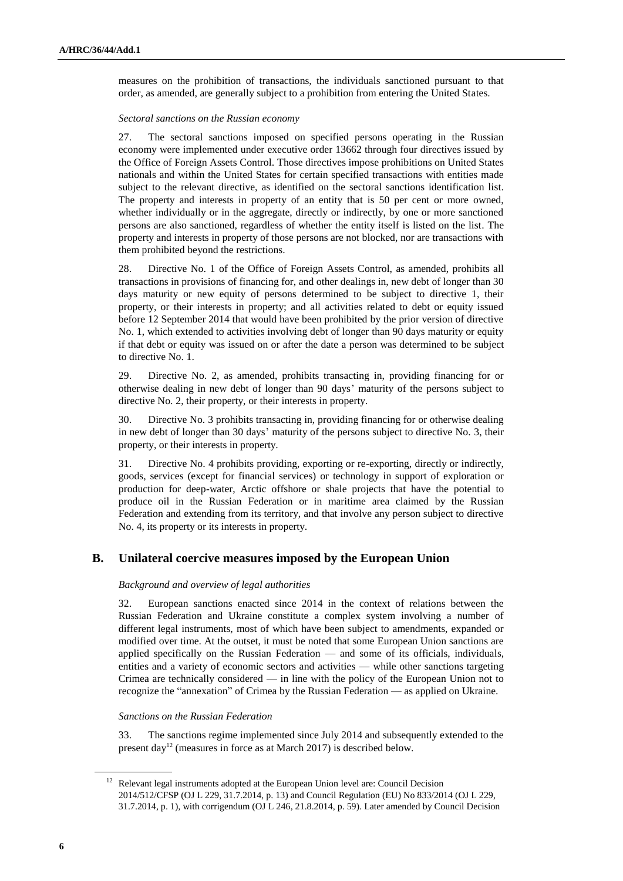measures on the prohibition of transactions, the individuals sanctioned pursuant to that order, as amended, are generally subject to a prohibition from entering the United States.

#### *Sectoral sanctions on the Russian economy*

27. The sectoral sanctions imposed on specified persons operating in the Russian economy were implemented under executive order 13662 through four directives issued by the Office of Foreign Assets Control. Those directives impose prohibitions on United States nationals and within the United States for certain specified transactions with entities made subject to the relevant directive, as identified on the sectoral sanctions identification list. The property and interests in property of an entity that is 50 per cent or more owned, whether individually or in the aggregate, directly or indirectly, by one or more sanctioned persons are also sanctioned, regardless of whether the entity itself is listed on the list. The property and interests in property of those persons are not blocked, nor are transactions with them prohibited beyond the restrictions.

28. Directive No. 1 of the Office of Foreign Assets Control, as amended, prohibits all transactions in provisions of financing for, and other dealings in, new debt of longer than 30 days maturity or new equity of persons determined to be subject to directive 1, their property, or their interests in property; and all activities related to debt or equity issued before 12 September 2014 that would have been prohibited by the prior version of directive No. 1, which extended to activities involving debt of longer than 90 days maturity or equity if that debt or equity was issued on or after the date a person was determined to be subject to directive No. 1.

29. Directive No. 2, as amended, prohibits transacting in, providing financing for or otherwise dealing in new debt of longer than 90 days' maturity of the persons subject to directive No. 2, their property, or their interests in property.

30. Directive No. 3 prohibits transacting in, providing financing for or otherwise dealing in new debt of longer than 30 days' maturity of the persons subject to directive No. 3, their property, or their interests in property.

31. Directive No. 4 prohibits providing, exporting or re-exporting, directly or indirectly, goods, services (except for financial services) or technology in support of exploration or production for deep-water, Arctic offshore or shale projects that have the potential to produce oil in the Russian Federation or in maritime area claimed by the Russian Federation and extending from its territory, and that involve any person subject to directive No. 4, its property or its interests in property.

### **B. Unilateral coercive measures imposed by the European Union**

#### *Background and overview of legal authorities*

32. European sanctions enacted since 2014 in the context of relations between the Russian Federation and Ukraine constitute a complex system involving a number of different legal instruments, most of which have been subject to amendments, expanded or modified over time. At the outset, it must be noted that some European Union sanctions are applied specifically on the Russian Federation — and some of its officials, individuals, entities and a variety of economic sectors and activities — while other sanctions targeting Crimea are technically considered — in line with the policy of the European Union not to recognize the "annexation" of Crimea by the Russian Federation — as applied on Ukraine.

### *Sanctions on the Russian Federation*

33. The sanctions regime implemented since July 2014 and subsequently extended to the present day<sup>12</sup> (measures in force as at March 2017) is described below.

<sup>&</sup>lt;sup>12</sup> Relevant legal instruments adopted at the European Union level are: Council Decision 2014/512/CFSP (OJ L 229, 31.7.2014, p. 13) and Council Regulation (EU) No 833/2014 (OJ L 229, 31.7.2014, p. 1), with corrigendum (OJ L 246, 21.8.2014, p. 59). Later amended by Council Decision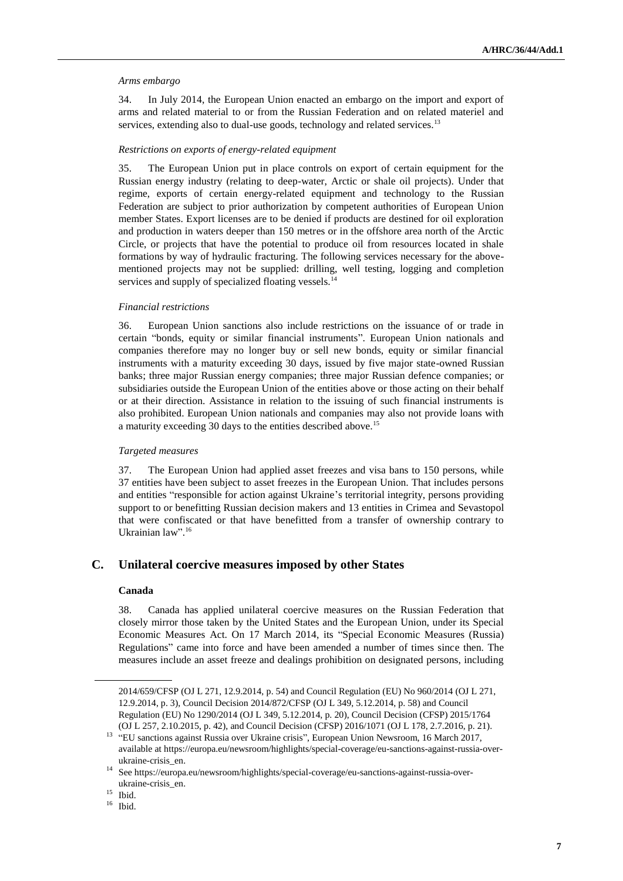#### *Arms embargo*

34. In July 2014, the European Union enacted an embargo on the import and export of arms and related material to or from the Russian Federation and on related materiel and services, extending also to dual-use goods, technology and related services.<sup>13</sup>

#### *Restrictions on exports of energy-related equipment*

35. The European Union put in place controls on export of certain equipment for the Russian energy industry (relating to deep-water, Arctic or shale oil projects). Under that regime, exports of certain energy-related equipment and technology to the Russian Federation are subject to prior authorization by competent authorities of European Union member States. Export licenses are to be denied if products are destined for oil exploration and production in waters deeper than 150 metres or in the offshore area north of the Arctic Circle, or projects that have the potential to produce oil from resources located in shale formations by way of hydraulic fracturing. The following services necessary for the abovementioned projects may not be supplied: drilling, well testing, logging and completion services and supply of specialized floating vessels.<sup>14</sup>

#### *Financial restrictions*

36. European Union sanctions also include restrictions on the issuance of or trade in certain "bonds, equity or similar financial instruments". European Union nationals and companies therefore may no longer buy or sell new bonds, equity or similar financial instruments with a maturity exceeding 30 days, issued by five major state-owned Russian banks; three major Russian energy companies; three major Russian defence companies; or subsidiaries outside the European Union of the entities above or those acting on their behalf or at their direction. Assistance in relation to the issuing of such financial instruments is also prohibited. European Union nationals and companies may also not provide loans with a maturity exceeding 30 days to the entities described above.<sup>15</sup>

#### *Targeted measures*

37. The European Union had applied asset freezes and visa bans to 150 persons, while 37 entities have been subject to asset freezes in the European Union. That includes persons and entities "responsible for action against Ukraine's territorial integrity, persons providing support to or benefitting Russian decision makers and 13 entities in Crimea and Sevastopol that were confiscated or that have benefitted from a transfer of ownership contrary to Ukrainian law".<sup>16</sup>

### **C. Unilateral coercive measures imposed by other States**

#### **Canada**

38. Canada has applied unilateral coercive measures on the Russian Federation that closely mirror those taken by the United States and the European Union, under its Special Economic Measures Act. On 17 March 2014, its "Special Economic Measures (Russia) Regulations" came into force and have been amended a number of times since then. The measures include an asset freeze and dealings prohibition on designated persons, including

<sup>15</sup> Ibid.

<sup>16</sup> Ibid.

<sup>2014/659/</sup>CFSP (OJ L 271, 12.9.2014, p. 54) and Council Regulation (EU) No 960/2014 (OJ L 271, 12.9.2014, p. 3), Council Decision 2014/872/CFSP (OJ L 349, 5.12.2014, p. 58) and Council Regulation (EU) No 1290/2014 (OJ L 349, 5.12.2014, p. 20), Council Decision (CFSP) 2015/1764 (OJ L 257, 2.10.2015, p. 42), and Council Decision (CFSP) 2016/1071 (OJ L 178, 2.7.2016, p. 21).

<sup>&</sup>lt;sup>13</sup> "EU sanctions against Russia over Ukraine crisis", European Union Newsroom, 16 March 2017, available at [https://europa.eu/newsroom/highlights/special-coverage/eu-sanctions-against-russia-over](https://europa.eu/newsroom/highlights/special-coverage/eu-sanctions-against-russia-over-ukraine-crisis_en)[ukraine-crisis\\_en.](https://europa.eu/newsroom/highlights/special-coverage/eu-sanctions-against-russia-over-ukraine-crisis_en) 

<sup>14</sup> Se[e https://europa.eu/newsroom/highlights/special-coverage/eu-sanctions-against-russia-over](https://europa.eu/newsroom/highlights/special-coverage/eu-sanctions-against-russia-over-ukraine-crisis_en)[ukraine-crisis\\_en.](https://europa.eu/newsroom/highlights/special-coverage/eu-sanctions-against-russia-over-ukraine-crisis_en)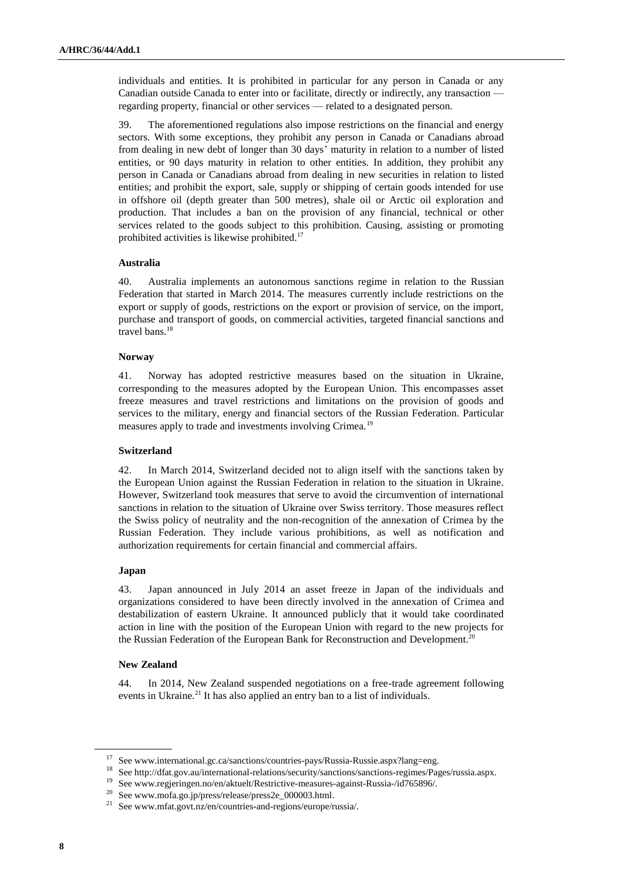individuals and entities. It is prohibited in particular for any person in Canada or any Canadian outside Canada to enter into or facilitate, directly or indirectly, any transaction regarding property, financial or other services — related to a designated person.

39. The aforementioned regulations also impose restrictions on the financial and energy sectors. With some exceptions, they prohibit any person in Canada or Canadians abroad from dealing in new debt of longer than 30 days' maturity in relation to a number of listed entities, or 90 days maturity in relation to other entities. In addition, they prohibit any person in Canada or Canadians abroad from dealing in new securities in relation to listed entities; and prohibit the export, sale, supply or shipping of certain goods intended for use in offshore oil (depth greater than 500 metres), shale oil or Arctic oil exploration and production. That includes a ban on the provision of any financial, technical or other services related to the goods subject to this prohibition. Causing, assisting or promoting prohibited activities is likewise prohibited.<sup>17</sup>

#### **Australia**

40. Australia implements an autonomous sanctions regime in relation to the Russian Federation that started in March 2014. The measures currently include restrictions on the export or supply of goods, restrictions on the export or provision of service, on the import, purchase and transport of goods, on commercial activities, targeted financial sanctions and travel bans.<sup>18</sup>

#### **Norway**

41. Norway has adopted restrictive measures based on the situation in Ukraine, corresponding to the measures adopted by the European Union. This encompasses asset freeze measures and travel restrictions and limitations on the provision of goods and services to the military, energy and financial sectors of the Russian Federation. Particular measures apply to trade and investments involving Crimea.<sup>19</sup>

#### **Switzerland**

42. In March 2014, Switzerland decided not to align itself with the sanctions taken by the European Union against the Russian Federation in relation to the situation in Ukraine. However, Switzerland took measures that serve to avoid the circumvention of international sanctions in relation to the situation of Ukraine over Swiss territory. Those measures reflect the Swiss policy of neutrality and the non-recognition of the annexation of Crimea by the Russian Federation. They include various prohibitions, as well as notification and authorization requirements for certain financial and commercial affairs.

#### **Japan**

43. Japan announced in July 2014 an asset freeze in Japan of the individuals and organizations considered to have been directly involved in the annexation of Crimea and destabilization of eastern Ukraine. It announced publicly that it would take coordinated action in line with the position of the European Union with regard to the new projects for the Russian Federation of the European Bank for Reconstruction and Development.<sup>20</sup>

#### **New Zealand**

44. In 2014, New Zealand suspended negotiations on a free-trade agreement following events in Ukraine.<sup>21</sup> It has also applied an entry ban to a list of individuals.

<sup>17</sup> See www.international.gc.ca/sanctions/countries-pays/Russia-Russie.aspx?lang=eng.

 $^{18}\,$  Se[e http://dfat.gov.au/international-relations/security/sanctions/sanctions-regimes/Pages/russia.aspx.](http://dfat.gov.au/international-relations/security/sanctions/sanctions-regimes/Pages/russia.aspx)

<sup>19</sup> See www.regjeringen.no/en/aktuelt/Restrictive-measures-against-Russia-/id765896/.

<sup>20</sup> Se[e www.mofa.go.jp/press/release/press2e\\_000003.html.](file:///C:/Users/isomova/AppData/Local/Temp/www.mofa.go.jp/press/release/press2e_000003.html)

<sup>21</sup> See www.mfat.govt.nz/en/countries-and-regions/europe/russia/.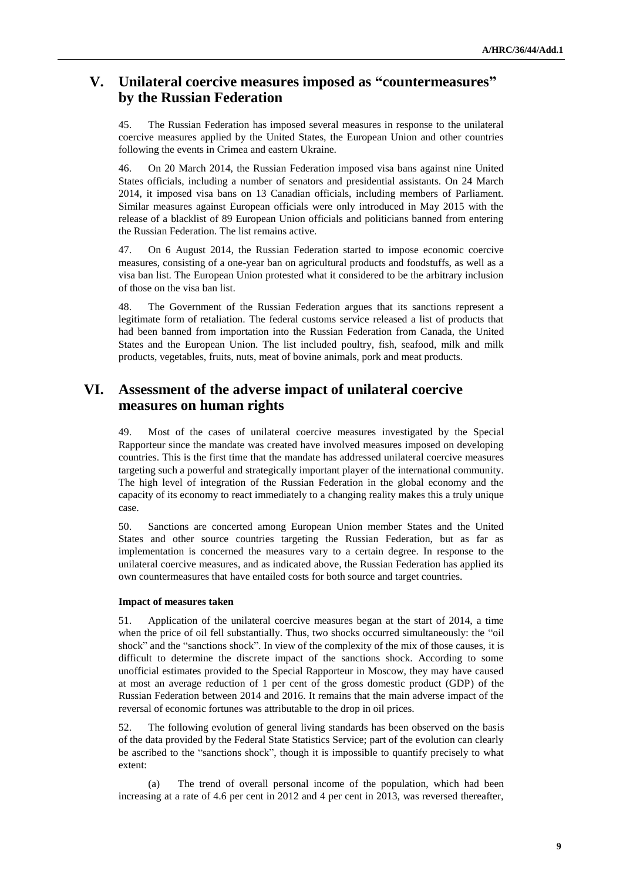# **V. Unilateral coercive measures imposed as "countermeasures" by the Russian Federation**

45. The Russian Federation has imposed several measures in response to the unilateral coercive measures applied by the United States, the European Union and other countries following the events in Crimea and eastern Ukraine.

46. On 20 March 2014, the Russian Federation imposed visa bans against nine United States officials, including a number of senators and presidential assistants. On 24 March 2014, it imposed visa bans on 13 Canadian officials, including members of Parliament. Similar measures against European officials were only introduced in May 2015 with the release of a blacklist of 89 European Union officials and politicians banned from entering the Russian Federation. The list remains active.

47. On 6 August 2014, the Russian Federation started to impose economic coercive measures, consisting of a one-year ban on agricultural products and foodstuffs, as well as a visa ban list. The European Union protested what it considered to be the arbitrary inclusion of those on the visa ban list.

48. The Government of the Russian Federation argues that its sanctions represent a legitimate form of retaliation. The federal customs service released a list of products that had been banned from importation into the Russian Federation from Canada, the United States and the European Union. The list included poultry, fish, seafood, milk and milk products, vegetables, fruits, nuts, meat of bovine animals, pork and meat products.

## **VI. Assessment of the adverse impact of unilateral coercive measures on human rights**

49. Most of the cases of unilateral coercive measures investigated by the Special Rapporteur since the mandate was created have involved measures imposed on developing countries. This is the first time that the mandate has addressed unilateral coercive measures targeting such a powerful and strategically important player of the international community. The high level of integration of the Russian Federation in the global economy and the capacity of its economy to react immediately to a changing reality makes this a truly unique case.

50. Sanctions are concerted among European Union member States and the United States and other source countries targeting the Russian Federation, but as far as implementation is concerned the measures vary to a certain degree. In response to the unilateral coercive measures, and as indicated above, the Russian Federation has applied its own countermeasures that have entailed costs for both source and target countries.

#### **Impact of measures taken**

51. Application of the unilateral coercive measures began at the start of 2014, a time when the price of oil fell substantially. Thus, two shocks occurred simultaneously: the "oil shock" and the "sanctions shock". In view of the complexity of the mix of those causes, it is difficult to determine the discrete impact of the sanctions shock. According to some unofficial estimates provided to the Special Rapporteur in Moscow, they may have caused at most an average reduction of 1 per cent of the gross domestic product (GDP) of the Russian Federation between 2014 and 2016. It remains that the main adverse impact of the reversal of economic fortunes was attributable to the drop in oil prices.

52. The following evolution of general living standards has been observed on the basis of the data provided by the Federal State Statistics Service; part of the evolution can clearly be ascribed to the "sanctions shock", though it is impossible to quantify precisely to what extent:

(a) The trend of overall personal income of the population, which had been increasing at a rate of 4.6 per cent in 2012 and 4 per cent in 2013, was reversed thereafter,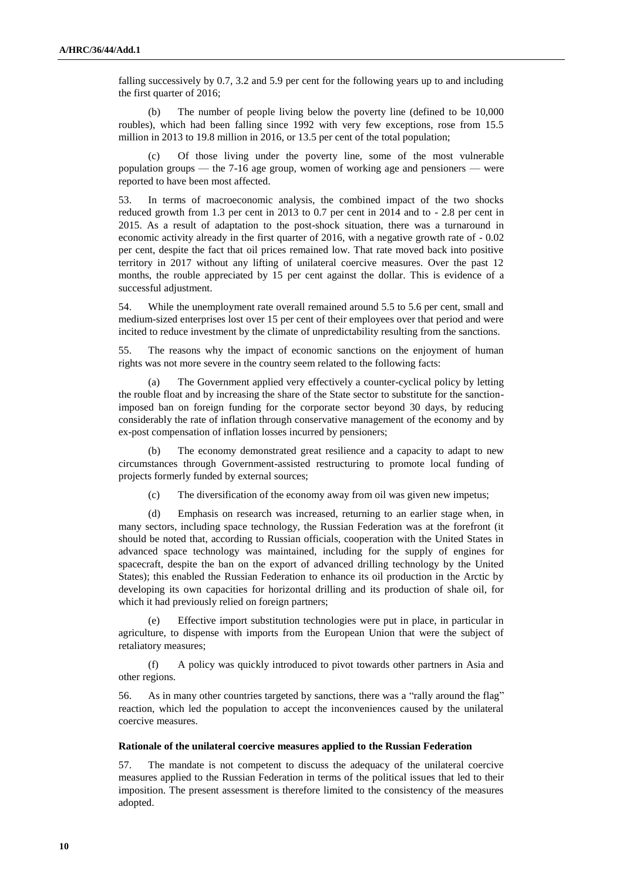falling successively by 0.7, 3.2 and 5.9 per cent for the following years up to and including the first quarter of 2016;

(b) The number of people living below the poverty line (defined to be 10,000 roubles), which had been falling since 1992 with very few exceptions, rose from 15.5 million in 2013 to 19.8 million in 2016, or 13.5 per cent of the total population;

Of those living under the poverty line, some of the most vulnerable population groups — the 7-16 age group, women of working age and pensioners — were reported to have been most affected.

53. In terms of macroeconomic analysis, the combined impact of the two shocks reduced growth from 1.3 per cent in 2013 to 0.7 per cent in 2014 and to - 2.8 per cent in 2015. As a result of adaptation to the post-shock situation, there was a turnaround in economic activity already in the first quarter of 2016, with a negative growth rate of - 0.02 per cent, despite the fact that oil prices remained low. That rate moved back into positive territory in 2017 without any lifting of unilateral coercive measures. Over the past 12 months, the rouble appreciated by 15 per cent against the dollar. This is evidence of a successful adjustment.

54. While the unemployment rate overall remained around 5.5 to 5.6 per cent, small and medium-sized enterprises lost over 15 per cent of their employees over that period and were incited to reduce investment by the climate of unpredictability resulting from the sanctions.

55. The reasons why the impact of economic sanctions on the enjoyment of human rights was not more severe in the country seem related to the following facts:

(a) The Government applied very effectively a counter-cyclical policy by letting the rouble float and by increasing the share of the State sector to substitute for the sanctionimposed ban on foreign funding for the corporate sector beyond 30 days, by reducing considerably the rate of inflation through conservative management of the economy and by ex-post compensation of inflation losses incurred by pensioners;

(b) The economy demonstrated great resilience and a capacity to adapt to new circumstances through Government-assisted restructuring to promote local funding of projects formerly funded by external sources;

(c) The diversification of the economy away from oil was given new impetus;

(d) Emphasis on research was increased, returning to an earlier stage when, in many sectors, including space technology, the Russian Federation was at the forefront (it should be noted that, according to Russian officials, cooperation with the United States in advanced space technology was maintained, including for the supply of engines for spacecraft, despite the ban on the export of advanced drilling technology by the United States); this enabled the Russian Federation to enhance its oil production in the Arctic by developing its own capacities for horizontal drilling and its production of shale oil, for which it had previously relied on foreign partners;

(e) Effective import substitution technologies were put in place, in particular in agriculture, to dispense with imports from the European Union that were the subject of retaliatory measures;

(f) A policy was quickly introduced to pivot towards other partners in Asia and other regions.

56. As in many other countries targeted by sanctions, there was a "rally around the flag" reaction, which led the population to accept the inconveniences caused by the unilateral coercive measures.

#### **Rationale of the unilateral coercive measures applied to the Russian Federation**

57. The mandate is not competent to discuss the adequacy of the unilateral coercive measures applied to the Russian Federation in terms of the political issues that led to their imposition. The present assessment is therefore limited to the consistency of the measures adopted.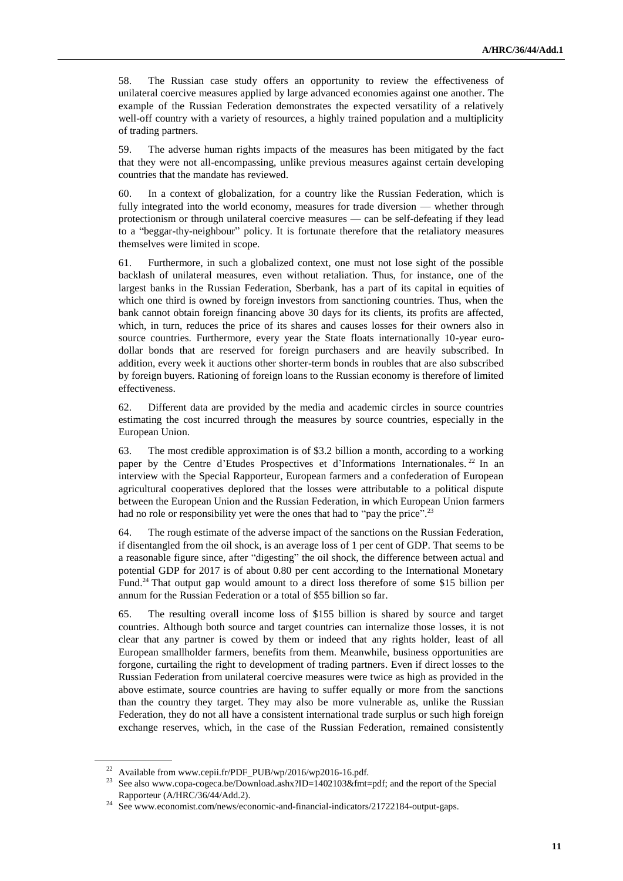58. The Russian case study offers an opportunity to review the effectiveness of unilateral coercive measures applied by large advanced economies against one another. The example of the Russian Federation demonstrates the expected versatility of a relatively well-off country with a variety of resources, a highly trained population and a multiplicity of trading partners.

59. The adverse human rights impacts of the measures has been mitigated by the fact that they were not all-encompassing, unlike previous measures against certain developing countries that the mandate has reviewed.

60. In a context of globalization, for a country like the Russian Federation, which is fully integrated into the world economy, measures for trade diversion — whether through protectionism or through unilateral coercive measures — can be self-defeating if they lead to a "beggar-thy-neighbour" policy. It is fortunate therefore that the retaliatory measures themselves were limited in scope.

61. Furthermore, in such a globalized context, one must not lose sight of the possible backlash of unilateral measures, even without retaliation. Thus, for instance, one of the largest banks in the Russian Federation, Sberbank, has a part of its capital in equities of which one third is owned by foreign investors from sanctioning countries. Thus, when the bank cannot obtain foreign financing above 30 days for its clients, its profits are affected, which, in turn, reduces the price of its shares and causes losses for their owners also in source countries. Furthermore, every year the State floats internationally 10-year eurodollar bonds that are reserved for foreign purchasers and are heavily subscribed. In addition, every week it auctions other shorter-term bonds in roubles that are also subscribed by foreign buyers. Rationing of foreign loans to the Russian economy is therefore of limited effectiveness.

62. Different data are provided by the media and academic circles in source countries estimating the cost incurred through the measures by source countries, especially in the European Union.

63. The most credible approximation is of \$3.2 billion a month, according to a working paper by the Centre d'Etudes Prospectives et d'Informations Internationales. <sup>22</sup> In an interview with the Special Rapporteur, European farmers and a confederation of European agricultural cooperatives deplored that the losses were attributable to a political dispute between the European Union and the Russian Federation, in which European Union farmers had no role or responsibility yet were the ones that had to "pay the price".<sup>23</sup>

64. The rough estimate of the adverse impact of the sanctions on the Russian Federation, if disentangled from the oil shock, is an average loss of 1 per cent of GDP. That seems to be a reasonable figure since, after "digesting" the oil shock, the difference between actual and potential GDP for 2017 is of about 0.80 per cent according to the International Monetary Fund.<sup>24</sup> That output gap would amount to a direct loss therefore of some \$15 billion per annum for the Russian Federation or a total of \$55 billion so far.

65. The resulting overall income loss of \$155 billion is shared by source and target countries. Although both source and target countries can internalize those losses, it is not clear that any partner is cowed by them or indeed that any rights holder, least of all European smallholder farmers, benefits from them. Meanwhile, business opportunities are forgone, curtailing the right to development of trading partners. Even if direct losses to the Russian Federation from unilateral coercive measures were twice as high as provided in the above estimate, source countries are having to suffer equally or more from the sanctions than the country they target. They may also be more vulnerable as, unlike the Russian Federation, they do not all have a consistent international trade surplus or such high foreign exchange reserves, which, in the case of the Russian Federation, remained consistently

<sup>&</sup>lt;sup>22</sup> Available from www.cepii.fr/PDF\_PUB/wp/2016/wp2016-16.pdf.

<sup>&</sup>lt;sup>23</sup> See also [www.copa-cogeca.be/Download.ashx?ID=1402103&fmt=pdf;](http://www.copa-cogeca.be/Download.ashx?ID=1402103&fmt=pdf) and the report of the Special Rapporteur (A/HRC/36/44/Add.2).

<sup>&</sup>lt;sup>24</sup> See www.economist.com/news/economic-and-financial-indicators/21722184-output-gaps.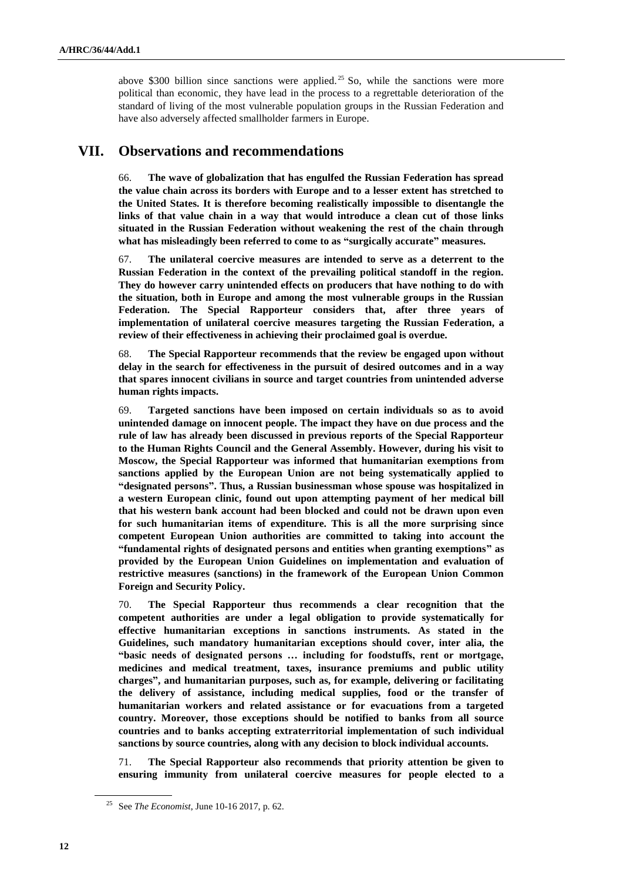above \$300 billion since sanctions were applied.<sup>25</sup> So, while the sanctions were more political than economic, they have lead in the process to a regrettable deterioration of the standard of living of the most vulnerable population groups in the Russian Federation and have also adversely affected smallholder farmers in Europe.

### **VII. Observations and recommendations**

66. **The wave of globalization that has engulfed the Russian Federation has spread the value chain across its borders with Europe and to a lesser extent has stretched to the United States. It is therefore becoming realistically impossible to disentangle the links of that value chain in a way that would introduce a clean cut of those links situated in the Russian Federation without weakening the rest of the chain through what has misleadingly been referred to come to as "surgically accurate" measures.**

67. **The unilateral coercive measures are intended to serve as a deterrent to the Russian Federation in the context of the prevailing political standoff in the region. They do however carry unintended effects on producers that have nothing to do with the situation, both in Europe and among the most vulnerable groups in the Russian Federation. The Special Rapporteur considers that, after three years of implementation of unilateral coercive measures targeting the Russian Federation, a review of their effectiveness in achieving their proclaimed goal is overdue.** 

68. **The Special Rapporteur recommends that the review be engaged upon without delay in the search for effectiveness in the pursuit of desired outcomes and in a way that spares innocent civilians in source and target countries from unintended adverse human rights impacts.** 

69. **Targeted sanctions have been imposed on certain individuals so as to avoid unintended damage on innocent people. The impact they have on due process and the rule of law has already been discussed in previous reports of the Special Rapporteur to the Human Rights Council and the General Assembly. However, during his visit to Moscow, the Special Rapporteur was informed that humanitarian exemptions from sanctions applied by the European Union are not being systematically applied to "designated persons". Thus, a Russian businessman whose spouse was hospitalized in a western European clinic, found out upon attempting payment of her medical bill that his western bank account had been blocked and could not be drawn upon even for such humanitarian items of expenditure. This is all the more surprising since competent European Union authorities are committed to taking into account the "fundamental rights of designated persons and entities when granting exemptions" as provided by the European Union Guidelines on implementation and evaluation of restrictive measures (sanctions) in the framework of the European Union Common Foreign and Security Policy.**

70. **The Special Rapporteur thus recommends a clear recognition that the competent authorities are under a legal obligation to provide systematically for effective humanitarian exceptions in sanctions instruments. As stated in the Guidelines, such mandatory humanitarian exceptions should cover, inter alia, the "basic needs of designated persons … including for foodstuffs, rent or mortgage, medicines and medical treatment, taxes, insurance premiums and public utility charges", and humanitarian purposes, such as, for example, delivering or facilitating the delivery of assistance, including medical supplies, food or the transfer of humanitarian workers and related assistance or for evacuations from a targeted country. Moreover, those exceptions should be notified to banks from all source countries and to banks accepting extraterritorial implementation of such individual sanctions by source countries, along with any decision to block individual accounts.**

71. **The Special Rapporteur also recommends that priority attention be given to ensuring immunity from unilateral coercive measures for people elected to a** 

<sup>25</sup> See *The Economist*, June 10-16 2017, p. 62.